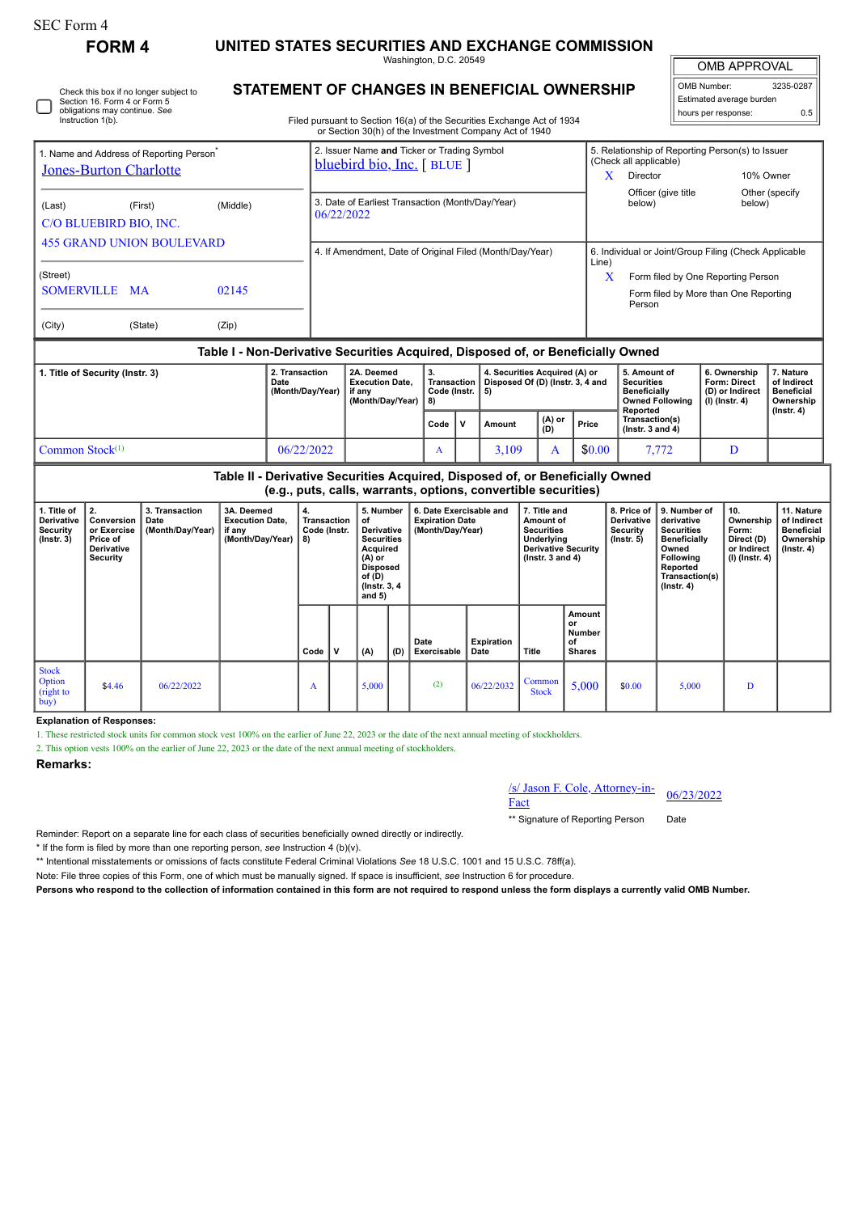Instruction 1(b).

Check this box if no longer subject to Section 16. Form 4 or Form 5 obligations may continue. *See*

**FORM 4 UNITED STATES SECURITIES AND EXCHANGE COMMISSION**

Washington, D.C. 20549 **STATEMENT OF CHANGES IN BENEFICIAL OWNERSHIP**

 $\parallel$ OMB APPROVAL

| OMB Number:              | 3235-0287 |  |  |  |  |  |  |  |
|--------------------------|-----------|--|--|--|--|--|--|--|
| Estimated average burden |           |  |  |  |  |  |  |  |
| hours per response:      | 0 5       |  |  |  |  |  |  |  |

Filed pursuant to Section 16(a) of the Securities Exchange Act of 1934

| 1. Name and Address of Reporting Person <sup>®</sup> |                                                                                  |          | 2. Issuer Name and Ticker or Trading Symbol<br>bluebird bio, Inc. [BLUE] | 5. Relationship of Reporting Person(s) to Issuer<br>(Check all applicable)                 |  |  |  |  |  |  |  |
|------------------------------------------------------|----------------------------------------------------------------------------------|----------|--------------------------------------------------------------------------|--------------------------------------------------------------------------------------------|--|--|--|--|--|--|--|
| <b>Jones-Burton Charlotte</b>                        |                                                                                  |          |                                                                          | x<br><b>Director</b><br>10% Owner                                                          |  |  |  |  |  |  |  |
| (Last)<br>C/O BLUEBIRD BIO, INC.                     | (First)                                                                          | (Middle) | 3. Date of Earliest Transaction (Month/Day/Year)<br>06/22/2022           | Officer (give title<br>Other (specify)<br>below)<br>below)                                 |  |  |  |  |  |  |  |
| <b>455 GRAND UNION BOULEVARD</b>                     |                                                                                  |          | 4. If Amendment, Date of Original Filed (Month/Day/Year)                 | 6. Individual or Joint/Group Filing (Check Applicable<br>Line)                             |  |  |  |  |  |  |  |
| (Street)<br>SOMERVILLE MA                            |                                                                                  | 02145    |                                                                          | X<br>Form filed by One Reporting Person<br>Form filed by More than One Reporting<br>Person |  |  |  |  |  |  |  |
| (City)                                               | (State)                                                                          | (Zip)    |                                                                          |                                                                                            |  |  |  |  |  |  |  |
|                                                      | Table I - Non-Derivative Securities Acquired. Disposed of. or Beneficially Owned |          |                                                                          |                                                                                            |  |  |  |  |  |  |  |

| 1. Title of Security (Instr. 3) | 2. Transaction<br>Date<br>(Month/Dav/Year) | 2A. Deemed<br><b>Execution Date.</b><br>if anv<br>(Month/Dav/Year)   8) | з.<br>Transaction<br>Code (Instr. 15) |  | 4. Securities Acquired (A) or<br>Disposed Of (D) (Instr. 3, 4 and |                        |        | 5. Amount of<br>Securities<br><b>Beneficially</b><br>Owned Following<br>Reported | 6. Ownership<br>Form: Direct<br>(D) or Indirect<br>  (I) (Instr. 4) | <b>∕. Nature</b><br>of Indirect<br>Beneficial<br>Ownership<br>$($ lnstr. 4 $)$ |
|---------------------------------|--------------------------------------------|-------------------------------------------------------------------------|---------------------------------------|--|-------------------------------------------------------------------|------------------------|--------|----------------------------------------------------------------------------------|---------------------------------------------------------------------|--------------------------------------------------------------------------------|
|                                 |                                            |                                                                         | Code IV                               |  | Amount                                                            | (A) or<br>Price<br>(D) |        | Transaction(s)<br>$($ lnstr. 3 and 4 $)$                                         |                                                                     |                                                                                |
| Common Stock $(1)$              | 06/22/2022                                 |                                                                         | A                                     |  | 3.109                                                             |                        | \$0.00 | 7.772                                                                            |                                                                     |                                                                                |

**Table II - Derivative Securities Acquired, Disposed of, or Beneficially Owned (e.g., puts, calls, warrants, options, convertible securities)**

| 1. Title of<br><b>Derivative</b><br>Security<br>$($ lnstr. 3 $)$ | 2.<br>Conversion<br>or Exercise<br>Price of<br><b>Derivative</b><br><b>Security</b> | 3. Transaction<br>Date<br>(Month/Day/Year) | 3A. Deemed<br><b>Execution Date,</b><br>if any<br>(Month/Day/Year)   8) | 4.<br>Transaction<br>Code (Instr. |   | 5. Number<br>of<br>Derivative<br><b>Securities</b><br>Acquired<br>$(A)$ or<br><b>Disposed</b><br>of $(D)$<br>(Instr. 3, 4)<br>and $5)$ |     | 6. Date Exercisable and<br><b>Expiration Date</b><br>(Month/Day/Year) |                    | 7. Title and<br>Amount of<br><b>Securities</b><br>Underlying<br><b>Derivative Security</b><br>$($ lnstr. 3 and 4 $)$ |                                               | 8. Price of<br><b>Derivative</b><br>Security<br>$($ lnstr. 5 $)$ | 9. Number of<br>derivative<br><b>Securities</b><br><b>Beneficially</b><br>Owned<br>Following<br>Reported<br>Transaction(s)<br>$($ lnstr. 4 $)$ | 10.<br>Ownership<br>Form:<br>Direct (D)<br>or Indirect<br>(I) (Instr. 4) | 11. Nature<br>of Indirect<br><b>Beneficial</b><br>Ownership<br>, (Instr. 4) |
|------------------------------------------------------------------|-------------------------------------------------------------------------------------|--------------------------------------------|-------------------------------------------------------------------------|-----------------------------------|---|----------------------------------------------------------------------------------------------------------------------------------------|-----|-----------------------------------------------------------------------|--------------------|----------------------------------------------------------------------------------------------------------------------|-----------------------------------------------|------------------------------------------------------------------|------------------------------------------------------------------------------------------------------------------------------------------------|--------------------------------------------------------------------------|-----------------------------------------------------------------------------|
|                                                                  |                                                                                     |                                            |                                                                         | Code                              | v | (A)                                                                                                                                    | (D) | Date<br>Exercisable                                                   | Expiration<br>Date | Title                                                                                                                | Amount<br>or<br>Number<br>οf<br><b>Shares</b> |                                                                  |                                                                                                                                                |                                                                          |                                                                             |
| <b>Stock</b><br>Option<br>(right to<br>buy)                      | \$4.46                                                                              | 06/22/2022                                 |                                                                         | A                                 |   | 5,000                                                                                                                                  |     | (2)                                                                   | 06/22/2032         | Common<br><b>Stock</b>                                                                                               | 5,000                                         | \$0.00                                                           | 5,000                                                                                                                                          | D                                                                        |                                                                             |

**Explanation of Responses:**

1. These restricted stock units for common stock vest 100% on the earlier of June 22, 2023 or the date of the next annual meeting of stockholders.

2. This option vests 100% on the earlier of June 22, 2023 or the date of the next annual meeting of stockholders.

## **Remarks:**

/s/ Jason F. Cole, Attorney-in- $\frac{\text{S}}{\text{Ract}}$  F. Cole, Attorney-in-<br>Fact

\*\* Signature of Reporting Person Date

Reminder: Report on a separate line for each class of securities beneficially owned directly or indirectly.

\* If the form is filed by more than one reporting person, *see* Instruction 4 (b)(v).

\*\* Intentional misstatements or omissions of facts constitute Federal Criminal Violations *See* 18 U.S.C. 1001 and 15 U.S.C. 78ff(a).

Note: File three copies of this Form, one of which must be manually signed. If space is insufficient, *see* Instruction 6 for procedure.

**Persons who respond to the collection of information contained in this form are not required to respond unless the form displays a currently valid OMB Number.**